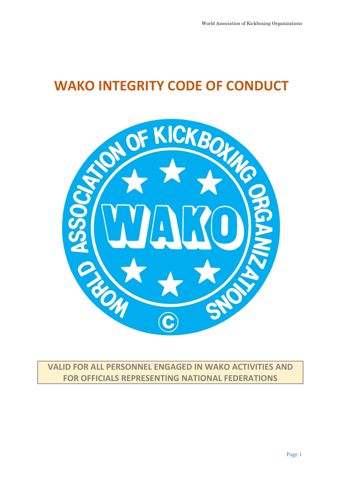# **WAKO INTEGRITY CODE OF CONDUCT**



**VALID FOR ALL PERSONNEL ENGAGED IN WAKO ACTIVITIES AND FOR OFFICIALS REPRESENTING NATIONAL FEDERATIONS**

Page 1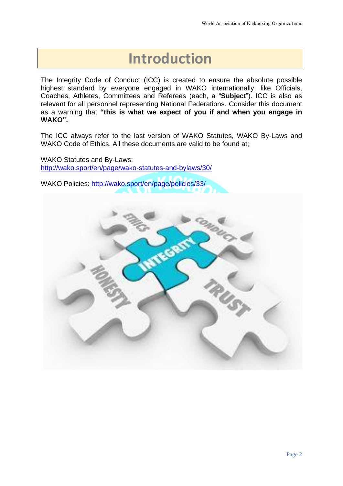# **Introduction**

The Integrity Code of Conduct (ICC) is created to ensure the absolute possible highest standard by everyone engaged in WAKO internationally, like Officials, Coaches, Athletes, Committees and Referees (each, a "**Subject**"). ICC is also as relevant for all personnel representing National Federations. Consider this document as a warning that **"this is what we expect of you if and when you engage in WAKO".**

The ICC always refer to the last version of WAKO Statutes, WAKO By-Laws and WAKO Code of Ethics. All these documents are valid to be found at:

WAKO Statutes and By-Laws: <http://wako.sport/en/page/wako-statutes-and-bylaws/30/>

WAKO Policies: <http://wako.sport/en/page/policies/33/>

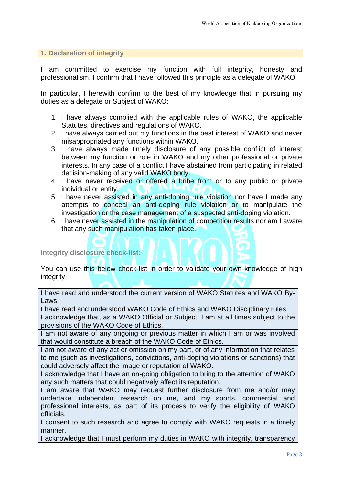#### **1. Declaration of integrity**

I am committed to exercise my function with full integrity, honesty and professionalism. I confirm that I have followed this principle as a delegate of WAKO.

In particular, I herewith confirm to the best of my knowledge that in pursuing my duties as a delegate or Subject of WAKO:

- 1. I have always complied with the applicable rules of WAKO, the applicable Statutes, directives and regulations of WAKO.
- 2. I have always carried out my functions in the best interest of WAKO and never misappropriated any functions within WAKO.
- 3. I have always made timely disclosure of any possible conflict of interest between my function or role in WAKO and my other professional or private interests. In any case of a conflict I have abstained from participating in related decision-making of any valid WAKO body.
- 4. I have never received or offered a bribe from or to any public or private individual or entity.
- 5. I have never assisted in any anti-doping rule violation nor have I made any attempts to conceal an anti-doping rule violation or to manipulate the investigation or the case management of a suspected anti-doping violation.
- 6. I have never assisted in the manipulation of competition results nor am I aware that any such manipulation has taken place.

#### **Integrity disclosure check-list:**

You can use this below check-list in order to validate your own knowledge of high integrity.

I have read and understood the current version of WAKO Statutes and WAKO By-Laws.

I have read and understood WAKO Code of Ethics and WAKO Disciplinary rules

I acknowledge that, as a WAKO Official or Subject, I am at all times subject to the provisions of the WAKO Code of Ethics.

I am not aware of any ongoing or previous matter in which I am or was involved that would constitute a breach of the WAKO Code of Ethics.

I am not aware of any act or omission on my part, or of any information that relates to me (such as investigations, convictions, anti-doping violations or sanctions) that could adversely affect the image or reputation of WAKO.

I acknowledge that I have an on-going obligation to bring to the attention of WAKO any such matters that could negatively affect its reputation.

I am aware that WAKO may request further disclosure from me and/or may undertake independent research on me, and my sports, commercial and professional interests, as part of its process to verify the eligibility of WAKO officials.

I consent to such research and agree to comply with WAKO requests in a timely manner.

I acknowledge that I must perform my duties in WAKO with integrity, transparency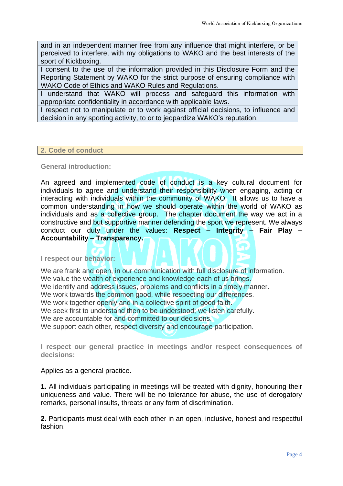and in an independent manner free from any influence that might interfere, or be perceived to interfere, with my obligations to WAKO and the best interests of the sport of Kickboxing.

I consent to the use of the information provided in this Disclosure Form and the Reporting Statement by WAKO for the strict purpose of ensuring compliance with WAKO Code of Ethics and WAKO Rules and Regulations.

I understand that WAKO will process and safeguard this information with appropriate confidentiality in accordance with applicable laws.

I respect not to manipulate or to work against official decisions, to influence and decision in any sporting activity, to or to jeopardize WAKO's reputation.

# **2. Code of conduct**

## **General introduction:**

An agreed and implemented code of conduct is a key cultural document for individuals to agree and understand their responsibility when engaging, acting or interacting with individuals within the community of WAKO. It allows us to have a common understanding in how we should operate within the world of WAKO as individuals and as a collective group. The chapter document the way we act in a constructive and but supportive manner defending the sport we represent. We always conduct our duty under the values: **Respect – Integrity – Fair Play – Accountability – Transparency.**

**I respect our behavior:**

We are frank and open, in our communication with full disclosure of information. We value the wealth of experience and knowledge each of us brings. We identify and address issues, problems and conflicts in a timely manner. We work towards the common good, while respecting our differences. We work together openly and in a collective spirit of good faith. We seek first to understand then to be understood; we listen carefully. We are accountable for and committed to our decisions. We support each other, respect diversity and encourage participation.

**I respect our general practice in meetings and/or respect consequences of decisions:**

Applies as a general practice.

**1.** All individuals participating in meetings will be treated with dignity, honouring their uniqueness and value. There will be no tolerance for abuse, the use of derogatory remarks, personal insults, threats or any form of discrimination.

**2.** Participants must deal with each other in an open, inclusive, honest and respectful fashion.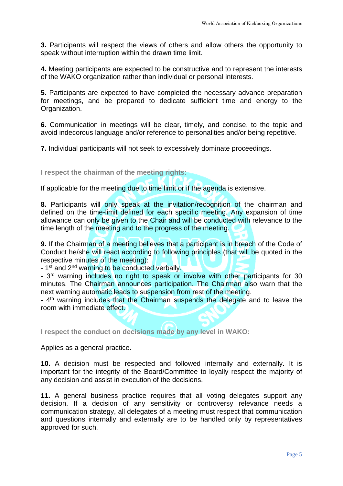**3.** Participants will respect the views of others and allow others the opportunity to speak without interruption within the drawn time limit.

**4.** Meeting participants are expected to be constructive and to represent the interests of the WAKO organization rather than individual or personal interests.

**5.** Participants are expected to have completed the necessary advance preparation for meetings, and be prepared to dedicate sufficient time and energy to the Organization.

**6.** Communication in meetings will be clear, timely, and concise, to the topic and avoid indecorous language and/or reference to personalities and/or being repetitive.

**7.** Individual participants will not seek to excessively dominate proceedings.

**I respect the chairman of the meeting rights:**

If applicable for the meeting due to time limit or if the agenda is extensive.

**8.** Participants will only speak at the invitation/recognition of the chairman and defined on the time-limit defined for each specific meeting. Any expansion of time allowance can only be given to the Chair and will be conducted with relevance to the time length of the meeting and to the progress of the meeting.

**9.** If the Chairman of a meeting believes that a participant is in breach of the Code of Conduct he/she will react according to following principles (that will be quoted in the respective minutes of the meeting):

- 1<sup>st</sup> and 2<sup>nd</sup> warning to be conducted verbally.

- 3<sup>rd</sup> warning includes no right to speak or involve with other participants for 30 minutes. The Chairman announces participation. The Chairman also warn that the next warning automatic leads to suspension from rest of the meeting.

- 4<sup>th</sup> warning includes that the Chairman suspends the delegate and to leave the room with immediate effect.

**I respect the conduct on decisions made by any level in WAKO:**

Applies as a general practice.

**10.** A decision must be respected and followed internally and externally. It is important for the integrity of the Board/Committee to loyally respect the majority of any decision and assist in execution of the decisions.

**11.** A general business practice requires that all voting delegates support any decision. If a decision of any sensitivity or controversy relevance needs a communication strategy, all delegates of a meeting must respect that communication and questions internally and externally are to be handled only by representatives approved for such.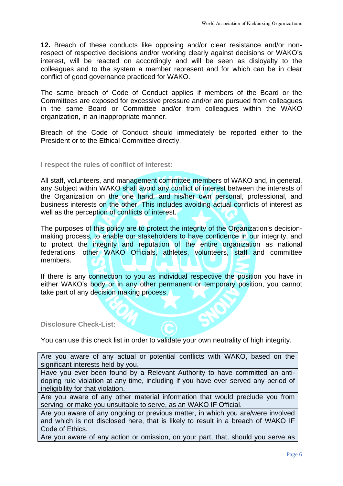**12.** Breach of these conducts like opposing and/or clear resistance and/or nonrespect of respective decisions and/or working clearly against decisions or WAKO's interest, will be reacted on accordingly and will be seen as disloyalty to the colleagues and to the system a member represent and for which can be in clear conflict of good governance practiced for WAKO.

The same breach of Code of Conduct applies if members of the Board or the Committees are exposed for excessive pressure and/or are pursued from colleagues in the same Board or Committee and/or from colleagues within the WAKO organization, in an inappropriate manner.

Breach of the Code of Conduct should immediately be reported either to the President or to the Ethical Committee directly.

# **I respect the rules of conflict of interest:**

All staff, volunteers, and management committee members of WAKO and, in general, any Subject within WAKO shall avoid any conflict of interest between the interests of the Organization on the one hand, and his/her own personal, professional, and business interests on the other. This includes avoiding actual conflicts of interest as well as the perception of conflicts of interest.

The purposes of this policy are to protect the integrity of the Organization's decisionmaking process, to enable our stakeholders to have confidence in our integrity, and to protect the integrity and reputation of the entire organization as national federations, other WAKO Officials, athletes, volunteers, staff and committee members.

If there is any connection to you as individual respective the position you have in either WAKO's body or in any other permanent or temporary position, you cannot take part of any decision making process.

## **Disclosure Check-List:**

You can use this check list in order to validate your own neutrality of high integrity.

Are you aware of any actual or potential conflicts with WAKO, based on the significant interests held by you.

Have you ever been found by a Relevant Authority to have committed an antidoping rule violation at any time, including if you have ever served any period of ineligibility for that violation.

Are you aware of any other material information that would preclude you from serving, or make you unsuitable to serve, as an WAKO IF Official.

Are you aware of any ongoing or previous matter, in which you are/were involved and which is not disclosed here, that is likely to result in a breach of WAKO IF Code of Ethics.

Are you aware of any action or omission, on your part, that, should you serve as